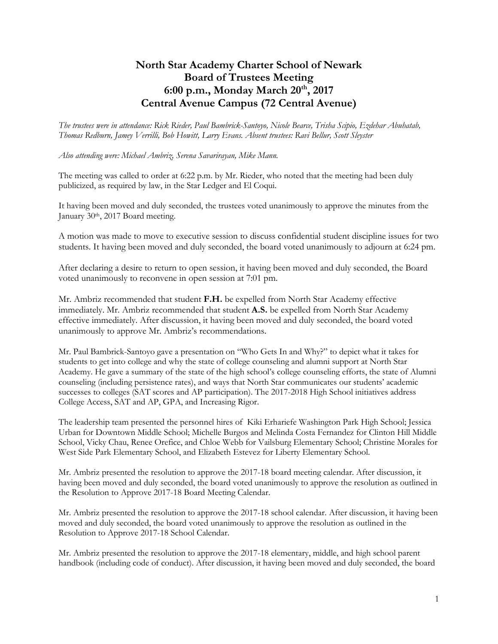## **North Star Academy Charter School of Newark Board of Trustees Meeting 6:00 p.m., Monday March 20th, 2017 Central Avenue Campus (72 Central Avenue)**

*The trustees were in attendance: Rick Rieder, Paul Bambrick-Santoyo, Nicole Bearce, Trisha Scipio, Ezdehar Abuhatab, Thomas Redburn, Jamey Verrilli, Bob Howitt, Larry Evans. Absent trustees: Ravi Bellur, Scott Sleyster*

*Also attending were: Michael Ambriz, Serena Savarirayan, Mike Mann.*

The meeting was called to order at 6:22 p.m. by Mr. Rieder, who noted that the meeting had been duly publicized, as required by law, in the Star Ledger and El Coqui.

It having been moved and duly seconded, the trustees voted unanimously to approve the minutes from the January 30<sup>th</sup>, 2017 Board meeting.

A motion was made to move to executive session to discuss confidential student discipline issues for two students. It having been moved and duly seconded, the board voted unanimously to adjourn at 6:24 pm.

After declaring a desire to return to open session, it having been moved and duly seconded, the Board voted unanimously to reconvene in open session at 7:01 pm.

Mr. Ambriz recommended that student **F.H.** be expelled from North Star Academy effective immediately. Mr. Ambriz recommended that student **A.S.** be expelled from North Star Academy effective immediately. After discussion, it having been moved and duly seconded, the board voted unanimously to approve Mr. Ambriz's recommendations.

Mr. Paul Bambrick-Santoyo gave a presentation on "Who Gets In and Why?" to depict what it takes for students to get into college and why the state of college counseling and alumni support at North Star Academy. He gave a summary of the state of the high school's college counseling efforts, the state of Alumni counseling (including persistence rates), and ways that North Star communicates our students' academic successes to colleges (SAT scores and AP participation). The 2017-2018 High School initiatives address College Access, SAT and AP, GPA, and Increasing Rigor.

The leadership team presented the personnel hires of Kiki Erhariefe Washington Park High School; Jessica Urban for Downtown Middle School; Michelle Burgos and Melinda Costa Fernandez for Clinton Hill Middle School, Vicky Chau, Renee Orefice, and Chloe Webb for Vailsburg Elementary School; Christine Morales for West Side Park Elementary School, and Elizabeth Estevez for Liberty Elementary School.

Mr. Ambriz presented the resolution to approve the 2017-18 board meeting calendar. After discussion, it having been moved and duly seconded, the board voted unanimously to approve the resolution as outlined in the Resolution to Approve 2017-18 Board Meeting Calendar.

Mr. Ambriz presented the resolution to approve the 2017-18 school calendar. After discussion, it having been moved and duly seconded, the board voted unanimously to approve the resolution as outlined in the Resolution to Approve 2017-18 School Calendar.

Mr. Ambriz presented the resolution to approve the 2017-18 elementary, middle, and high school parent handbook (including code of conduct). After discussion, it having been moved and duly seconded, the board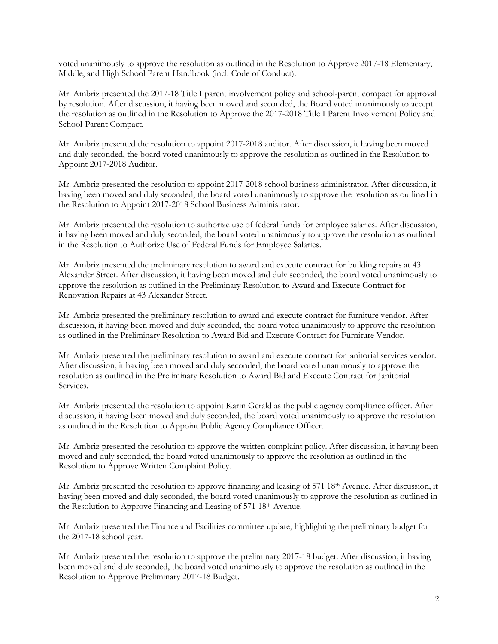voted unanimously to approve the resolution as outlined in the Resolution to Approve 2017-18 Elementary, Middle, and High School Parent Handbook (incl. Code of Conduct).

Mr. Ambriz presented the 2017-18 Title I parent involvement policy and school-parent compact for approval by resolution. After discussion, it having been moved and seconded, the Board voted unanimously to accept the resolution as outlined in the Resolution to Approve the 2017-2018 Title I Parent Involvement Policy and School-Parent Compact.

Mr. Ambriz presented the resolution to appoint 2017-2018 auditor. After discussion, it having been moved and duly seconded, the board voted unanimously to approve the resolution as outlined in the Resolution to Appoint 2017-2018 Auditor.

Mr. Ambriz presented the resolution to appoint 2017-2018 school business administrator. After discussion, it having been moved and duly seconded, the board voted unanimously to approve the resolution as outlined in the Resolution to Appoint 2017-2018 School Business Administrator.

Mr. Ambriz presented the resolution to authorize use of federal funds for employee salaries. After discussion, it having been moved and duly seconded, the board voted unanimously to approve the resolution as outlined in the Resolution to Authorize Use of Federal Funds for Employee Salaries.

Mr. Ambriz presented the preliminary resolution to award and execute contract for building repairs at 43 Alexander Street. After discussion, it having been moved and duly seconded, the board voted unanimously to approve the resolution as outlined in the Preliminary Resolution to Award and Execute Contract for Renovation Repairs at 43 Alexander Street.

Mr. Ambriz presented the preliminary resolution to award and execute contract for furniture vendor. After discussion, it having been moved and duly seconded, the board voted unanimously to approve the resolution as outlined in the Preliminary Resolution to Award Bid and Execute Contract for Furniture Vendor.

Mr. Ambriz presented the preliminary resolution to award and execute contract for janitorial services vendor. After discussion, it having been moved and duly seconded, the board voted unanimously to approve the resolution as outlined in the Preliminary Resolution to Award Bid and Execute Contract for Janitorial Services.

Mr. Ambriz presented the resolution to appoint Karin Gerald as the public agency compliance officer. After discussion, it having been moved and duly seconded, the board voted unanimously to approve the resolution as outlined in the Resolution to Appoint Public Agency Compliance Officer.

Mr. Ambriz presented the resolution to approve the written complaint policy. After discussion, it having been moved and duly seconded, the board voted unanimously to approve the resolution as outlined in the Resolution to Approve Written Complaint Policy.

Mr. Ambriz presented the resolution to approve financing and leasing of 571 18<sup>th</sup> Avenue. After discussion, it having been moved and duly seconded, the board voted unanimously to approve the resolution as outlined in the Resolution to Approve Financing and Leasing of 571 18th Avenue.

Mr. Ambriz presented the Finance and Facilities committee update, highlighting the preliminary budget for the 2017-18 school year.

Mr. Ambriz presented the resolution to approve the preliminary 2017-18 budget. After discussion, it having been moved and duly seconded, the board voted unanimously to approve the resolution as outlined in the Resolution to Approve Preliminary 2017-18 Budget.